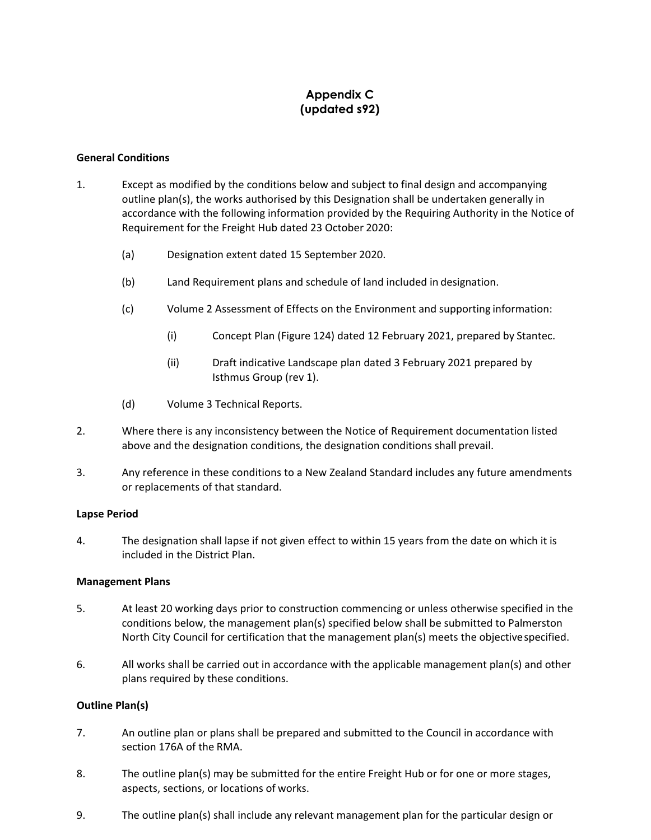# **Appendix C (updated s92)**

#### **General Conditions**

- 1. Except as modified by the conditions below and subject to final design and accompanying outline plan(s), the works authorised by this Designation shall be undertaken generally in accordance with the following information provided by the Requiring Authority in the Notice of Requirement for the Freight Hub dated 23 October 2020:
	- (a) Designation extent dated 15 September 2020.
	- (b) Land Requirement plans and schedule of land included in designation.
	- (c) Volume 2 Assessment of Effects on the Environment and supporting information:
		- (i) Concept Plan (Figure 124) dated 12 February 2021, prepared by Stantec.
		- (ii) Draft indicative Landscape plan dated 3 February 2021 prepared by Isthmus Group (rev 1).
	- (d) Volume 3 Technical Reports.
- 2. Where there is any inconsistency between the Notice of Requirement documentation listed above and the designation conditions, the designation conditions shall prevail.
- 3. Any reference in these conditions to a New Zealand Standard includes any future amendments or replacements of that standard.

# **Lapse Period**

4. The designation shall lapse if not given effect to within 15 years from the date on which it is included in the District Plan.

# **Management Plans**

- 5. At least 20 working days prior to construction commencing or unless otherwise specified in the conditions below, the management plan(s) specified below shall be submitted to Palmerston North City Council for certification that the management plan(s) meets the objectivespecified.
- 6. All works shall be carried out in accordance with the applicable management plan(s) and other plans required by these conditions.

# **Outline Plan(s)**

- 7. An outline plan or plans shall be prepared and submitted to the Council in accordance with section 176A of the RMA.
- 8. The outline plan(s) may be submitted for the entire Freight Hub or for one or more stages, aspects, sections, or locations of works.
- <span id="page-0-0"></span>9. The outline plan(s) shall include any relevant management plan for the particular design or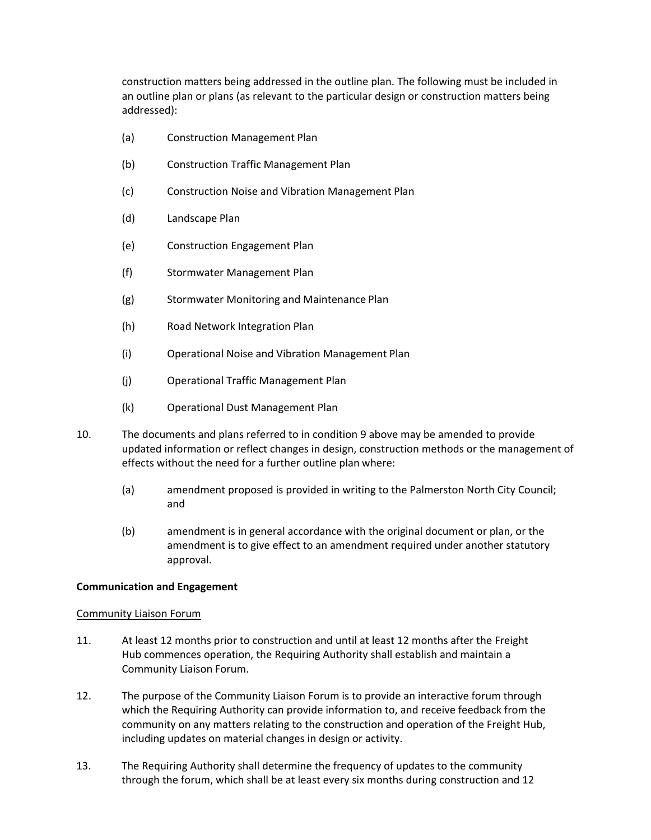construction matters being addressed in the outline plan. The following must be included in an outline plan or plans (as relevant to the particular design or construction matters being addressed):

- (a) Construction Management Plan
- (b) Construction Traffic Management Plan
- (c) Construction Noise and Vibration Management Plan
- (d) Landscape Plan
- (e) Construction Engagement Plan
- (f) Stormwater Management Plan
- (g) Stormwater Monitoring and Maintenance Plan
- (h) Road Network Integration Plan
- (i) Operational Noise and Vibration Management Plan
- (j) Operational Traffic Management Plan
- (k) Operational Dust Management Plan
- 10. The documents and plans referred to in conditio[n 9 a](#page-0-0)bove may be amended to provide updated information or reflect changes in design, construction methods or the management of effects without the need for a further outline plan where:
	- (a) amendment proposed is provided in writing to the Palmerston North City Council; and
	- (b) amendment is in general accordance with the original document or plan, or the amendment is to give effect to an amendment required under another statutory approval.

# **Communication and Engagement**

#### <span id="page-1-0"></span>Community Liaison Forum

- 11. At least 12 months prior to construction and until at least 12 months after the Freight Hub commences operation, the Requiring Authority shall establish and maintain a Community Liaison Forum.
- 12. The purpose of the Community Liaison Forum is to provide an interactive forum through which the Requiring Authority can provide information to, and receive feedback from the community on any matters relating to the construction and operation of the Freight Hub, including updates on material changes in design or activity.
- 13. The Requiring Authority shall determine the frequency of updates to the community through the forum, which shall be at least every six months during construction and 12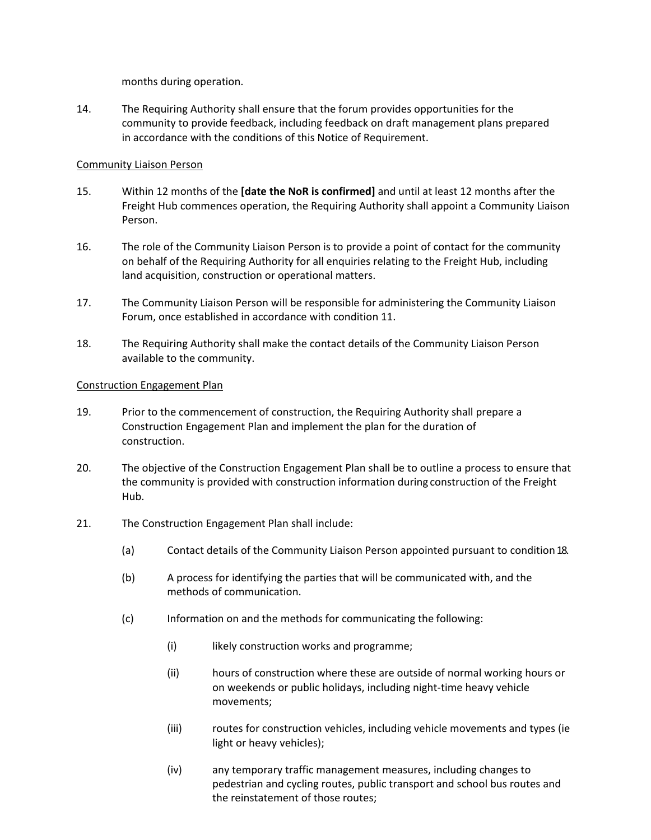months during operation.

14. The Requiring Authority shall ensure that the forum provides opportunities for the community to provide feedback, including feedback on draft management plans prepared in accordance with the conditions of this Notice of Requirement.

# Community Liaison Person

- 15. Within 12 months of the **[date the NoR is confirmed]** and until at least 12 months after the Freight Hub commences operation, the Requiring Authority shall appoint a Community Liaison Person.
- 16. The role of the Community Liaison Person is to provide a point of contact for the community on behalf of the Requiring Authority for all enquiries relating to the Freight Hub, including land acquisition, construction or operational matters.
- 17. The Community Liaison Person will be responsible for administering the Community Liaison Forum, once established in accordance with condition [11.](#page-1-0)
- <span id="page-2-0"></span>18. The Requiring Authority shall make the contact details of the Community Liaison Person available to the community.

#### Construction Engagement Plan

- 19. Prior to the commencement of construction, the Requiring Authority shall prepare a Construction Engagement Plan and implement the plan for the duration of construction.
- 20. The objective of the Construction Engagement Plan shall be to outline a process to ensure that the community is provided with construction information during construction of the Freight Hub.
- 21. The Construction Engagement Plan shall include:
	- (a) Contact details of the Community Liaison Person appointed pursuant to conditio[n18.](#page-2-0)
	- (b) A process for identifying the parties that will be communicated with, and the methods of communication.
	- (c) Information on and the methods for communicating the following:
		- (i) likely construction works and programme;
		- (ii) hours of construction where these are outside of normal working hours or on weekends or public holidays, including night-time heavy vehicle movements;
		- (iii) routes for construction vehicles, including vehicle movements and types (ie light or heavy vehicles);
		- (iv) any temporary traffic management measures, including changes to pedestrian and cycling routes, public transport and school bus routes and the reinstatement of those routes;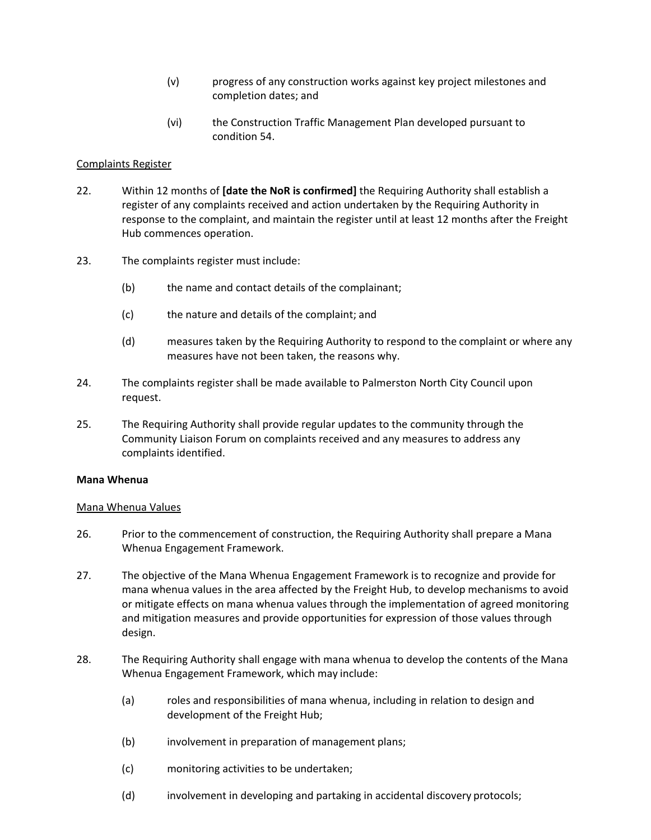- (v) progress of any construction works against key project milestones and completion dates; and
- (vi) the Construction Traffic Management Plan developed pursuant to condition [54.](#page-8-0)

#### Complaints Register

- 22. Within 12 months of **[date the NoR is confirmed]** the Requiring Authority shall establish a register of any complaints received and action undertaken by the Requiring Authority in response to the complaint, and maintain the register until at least 12 months after the Freight Hub commences operation.
- 23. The complaints register must include:
	- (b) the name and contact details of the complainant;
	- (c) the nature and details of the complaint; and
	- (d) measures taken by the Requiring Authority to respond to the complaint or where any measures have not been taken, the reasons why.
- 24. The complaints register shall be made available to Palmerston North City Council upon request.
- 25. The Requiring Authority shall provide regular updates to the community through the Community Liaison Forum on complaints received and any measures to address any complaints identified.

#### **Mana Whenua**

#### Mana Whenua Values

- 26. Prior to the commencement of construction, the Requiring Authority shall prepare a Mana Whenua Engagement Framework.
- 27. The objective of the Mana Whenua Engagement Framework is to recognize and provide for mana whenua values in the area affected by the Freight Hub, to develop mechanisms to avoid or mitigate effects on mana whenua values through the implementation of agreed monitoring and mitigation measures and provide opportunities for expression of those values through design.
- 28. The Requiring Authority shall engage with mana whenua to develop the contents of the Mana Whenua Engagement Framework, which may include:
	- (a) roles and responsibilities of mana whenua, including in relation to design and development of the Freight Hub;
	- (b) involvement in preparation of management plans;
	- (c) monitoring activities to be undertaken;
	- (d) involvement in developing and partaking in accidental discovery protocols;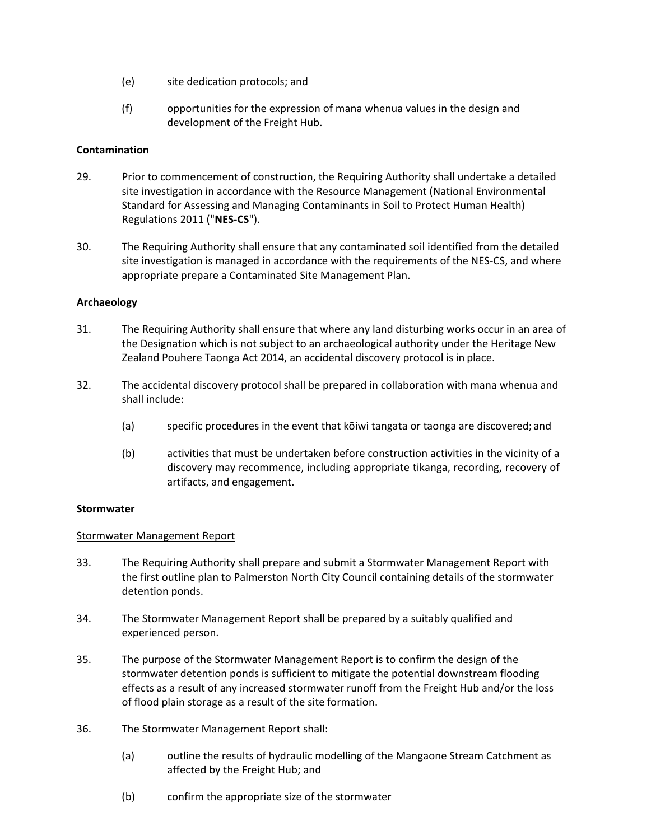- (e) site dedication protocols; and
- (f) opportunities for the expression of mana whenua values in the design and development of the Freight Hub.

# **Contamination**

- 29. Prior to commencement of construction, the Requiring Authority shall undertake a detailed site investigation in accordance with the Resource Management (National Environmental Standard for Assessing and Managing Contaminants in Soil to Protect Human Health) Regulations 2011 ("**NES-CS**").
- 30. The Requiring Authority shall ensure that any contaminated soil identified from the detailed site investigation is managed in accordance with the requirements of the NES-CS, and where appropriate prepare a Contaminated Site Management Plan.

# **Archaeology**

- 31. The Requiring Authority shall ensure that where any land disturbing works occur in an area of the Designation which is not subject to an archaeological authority under the Heritage New Zealand Pouhere Taonga Act 2014, an accidental discovery protocol is in place.
- 32. The accidental discovery protocol shall be prepared in collaboration with mana whenua and shall include:
	- (a) specific procedures in the event that kōiwi tangata or taonga are discovered; and
	- (b) activities that must be undertaken before construction activities in the vicinity of a discovery may recommence, including appropriate tikanga, recording, recovery of artifacts, and engagement.

# **Stormwater**

# Stormwater Management Report

- 33. The Requiring Authority shall prepare and submit a Stormwater Management Report with the first outline plan to Palmerston North City Council containing details of the stormwater detention ponds.
- 34. The Stormwater Management Report shall be prepared by a suitably qualified and experienced person.
- 35. The purpose of the Stormwater Management Report is to confirm the design of the stormwater detention ponds is sufficient to mitigate the potential downstream flooding effects as a result of any increased stormwater runoff from the Freight Hub and/or the loss of flood plain storage as a result of the site formation.
- 36. The Stormwater Management Report shall:
	- (a) outline the results of hydraulic modelling of the Mangaone Stream Catchment as affected by the Freight Hub; and
	- (b) confirm the appropriate size of the stormwater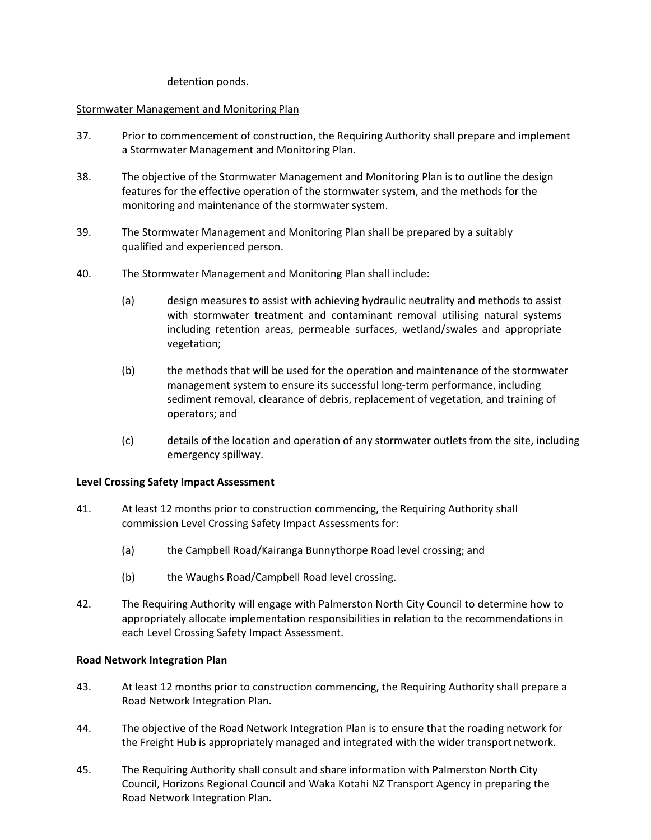detention ponds.

# Stormwater Management and Monitoring Plan

- 37. Prior to commencement of construction, the Requiring Authority shall prepare and implement a Stormwater Management and Monitoring Plan.
- 38. The objective of the Stormwater Management and Monitoring Plan is to outline the design features for the effective operation of the stormwater system, and the methods for the monitoring and maintenance of the stormwater system.
- 39. The Stormwater Management and Monitoring Plan shall be prepared by a suitably qualified and experienced person.
- 40. The Stormwater Management and Monitoring Plan shall include:
	- (a) design measures to assist with achieving hydraulic neutrality and methods to assist with stormwater treatment and contaminant removal utilising natural systems including retention areas, permeable surfaces, wetland/swales and appropriate vegetation;
	- (b) the methods that will be used for the operation and maintenance of the stormwater management system to ensure its successful long-term performance, including sediment removal, clearance of debris, replacement of vegetation, and training of operators; and
	- (c) details of the location and operation of any stormwater outlets from the site, including emergency spillway.

# **Level Crossing Safety Impact Assessment**

- 41. At least 12 months prior to construction commencing, the Requiring Authority shall commission Level Crossing Safety Impact Assessments for:
	- (a) the Campbell Road/Kairanga Bunnythorpe Road level crossing; and
	- (b) the Waughs Road/Campbell Road level crossing.
- 42. The Requiring Authority will engage with Palmerston North City Council to determine how to appropriately allocate implementation responsibilities in relation to the recommendations in each Level Crossing Safety Impact Assessment.

# **Road Network Integration Plan**

- 43. At least 12 months prior to construction commencing, the Requiring Authority shall prepare a Road Network Integration Plan.
- 44. The objective of the Road Network Integration Plan is to ensure that the roading network for the Freight Hub is appropriately managed and integrated with the wider transportnetwork.
- 45. The Requiring Authority shall consult and share information with Palmerston North City Council, Horizons Regional Council and Waka Kotahi NZ Transport Agency in preparing the Road Network Integration Plan.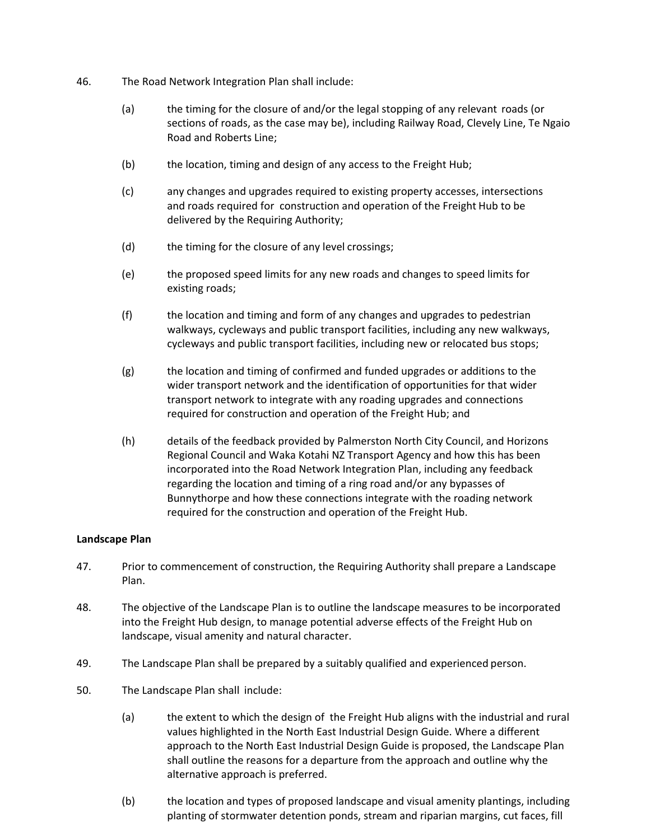- 46. The Road Network Integration Plan shall include:
	- (a) the timing for the closure of and/or the legal stopping of any relevant roads (or sections of roads, as the case may be), including Railway Road, Clevely Line, Te Ngaio Road and Roberts Line;
	- (b) the location, timing and design of any access to the Freight Hub;
	- (c) any changes and upgrades required to existing property accesses, intersections and roads required for construction and operation of the Freight Hub to be delivered by the Requiring Authority;
	- (d) the timing for the closure of any level crossings;
	- (e) the proposed speed limits for any new roads and changes to speed limits for existing roads;
	- (f) the location and timing and form of any changes and upgrades to pedestrian walkways, cycleways and public transport facilities, including any new walkways, cycleways and public transport facilities, including new or relocated bus stops;
	- (g) the location and timing of confirmed and funded upgrades or additions to the wider transport network and the identification of opportunities for that wider transport network to integrate with any roading upgrades and connections required for construction and operation of the Freight Hub; and
	- (h) details of the feedback provided by Palmerston North City Council, and Horizons Regional Council and Waka Kotahi NZ Transport Agency and how this has been incorporated into the Road Network Integration Plan, including any feedback regarding the location and timing of a ring road and/or any bypasses of Bunnythorpe and how these connections integrate with the roading network required for the construction and operation of the Freight Hub.

#### **Landscape Plan**

- 47. Prior to commencement of construction, the Requiring Authority shall prepare a Landscape Plan.
- 48. The objective of the Landscape Plan is to outline the landscape measures to be incorporated into the Freight Hub design, to manage potential adverse effects of the Freight Hub on landscape, visual amenity and natural character.
- 49. The Landscape Plan shall be prepared by a suitably qualified and experienced person.
- 50. The Landscape Plan shall include:
	- (a) the extent to which the design of the Freight Hub aligns with the industrial and rural values highlighted in the North East Industrial Design Guide. Where a different approach to the North East Industrial Design Guide is proposed, the Landscape Plan shall outline the reasons for a departure from the approach and outline why the alternative approach is preferred.
	- (b) the location and types of proposed landscape and visual amenity plantings, including planting of stormwater detention ponds, stream and riparian margins, cut faces, fill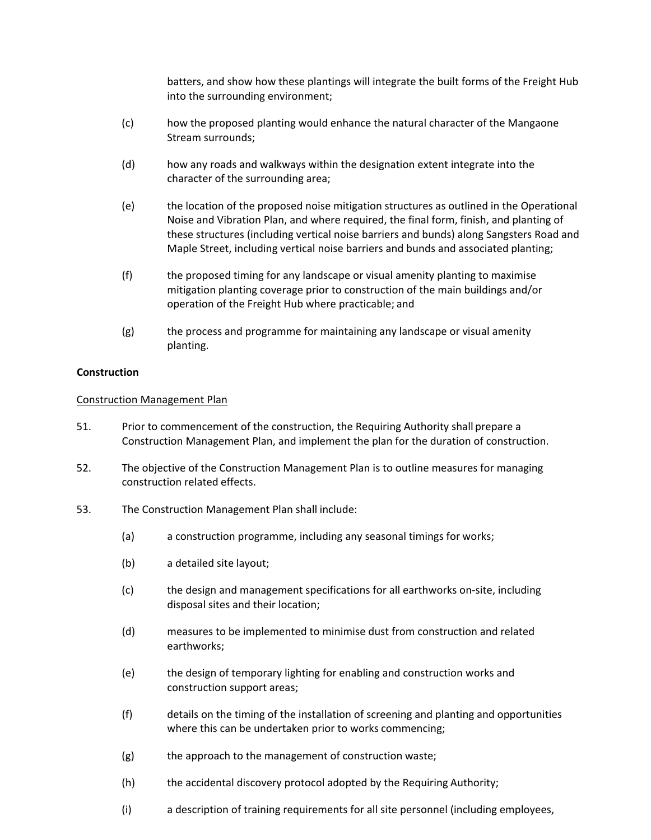batters, and show how these plantings will integrate the built forms of the Freight Hub into the surrounding environment;

- (c) how the proposed planting would enhance the natural character of the Mangaone Stream surrounds;
- (d) how any roads and walkways within the designation extent integrate into the character of the surrounding area;
- (e) the location of the proposed noise mitigation structures as outlined in the Operational Noise and Vibration Plan, and where required, the final form, finish, and planting of these structures (including vertical noise barriers and bunds) along Sangsters Road and Maple Street, including vertical noise barriers and bunds and associated planting;
- (f) the proposed timing for any landscape or visual amenity planting to maximise mitigation planting coverage prior to construction of the main buildings and/or operation of the Freight Hub where practicable; and
- (g) the process and programme for maintaining any landscape or visual amenity planting.

#### **Construction**

#### Construction Management Plan

- 51. Prior to commencement of the construction, the Requiring Authority shall prepare a Construction Management Plan, and implement the plan for the duration of construction.
- 52. The objective of the Construction Management Plan is to outline measures for managing construction related effects.
- 53. The Construction Management Plan shall include:
	- (a) a construction programme, including any seasonal timings for works;
	- (b) a detailed site layout;
	- (c) the design and management specifications for all earthworks on-site, including disposal sites and their location;
	- (d) measures to be implemented to minimise dust from construction and related earthworks;
	- (e) the design of temporary lighting for enabling and construction works and construction support areas;
	- (f) details on the timing of the installation of screening and planting and opportunities where this can be undertaken prior to works commencing;
	- (g) the approach to the management of construction waste;
	- (h) the accidental discovery protocol adopted by the Requiring Authority;
	- (i) a description of training requirements for all site personnel (including employees,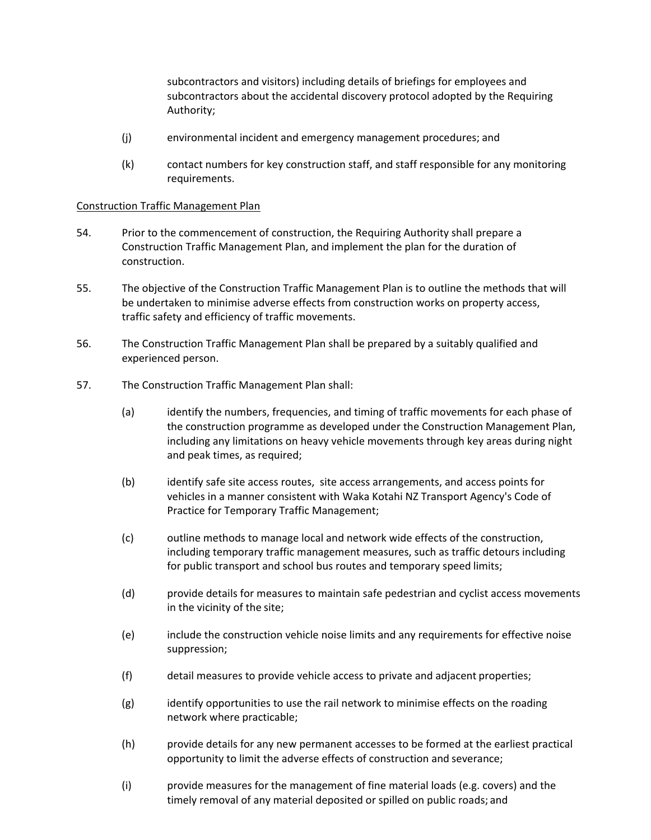subcontractors and visitors) including details of briefings for employees and subcontractors about the accidental discovery protocol adopted by the Requiring Authority;

- (j) environmental incident and emergency management procedures; and
- (k) contact numbers for key construction staff, and staff responsible for any monitoring requirements.

# <span id="page-8-0"></span>Construction Traffic Management Plan

- 54. Prior to the commencement of construction, the Requiring Authority shall prepare a Construction Traffic Management Plan, and implement the plan for the duration of construction.
- 55. The objective of the Construction Traffic Management Plan is to outline the methods that will be undertaken to minimise adverse effects from construction works on property access, traffic safety and efficiency of traffic movements.
- 56. The Construction Traffic Management Plan shall be prepared by a suitably qualified and experienced person.
- 57. The Construction Traffic Management Plan shall:
	- (a) identify the numbers, frequencies, and timing of traffic movements for each phase of the construction programme as developed under the Construction Management Plan, including any limitations on heavy vehicle movements through key areas during night and peak times, as required;
	- (b) identify safe site access routes, site access arrangements, and access points for vehicles in a manner consistent with Waka Kotahi NZ Transport Agency's Code of Practice for Temporary Traffic Management;
	- (c) outline methods to manage local and network wide effects of the construction, including temporary traffic management measures, such as traffic detours including for public transport and school bus routes and temporary speed limits;
	- (d) provide details for measures to maintain safe pedestrian and cyclist access movements in the vicinity of the site;
	- (e) include the construction vehicle noise limits and any requirements for effective noise suppression;
	- (f) detail measures to provide vehicle access to private and adjacent properties;
	- (g) identify opportunities to use the rail network to minimise effects on the roading network where practicable;
	- (h) provide details for any new permanent accesses to be formed at the earliest practical opportunity to limit the adverse effects of construction and severance;
	- (i) provide measures for the management of fine material loads (e.g. covers) and the timely removal of any material deposited or spilled on public roads; and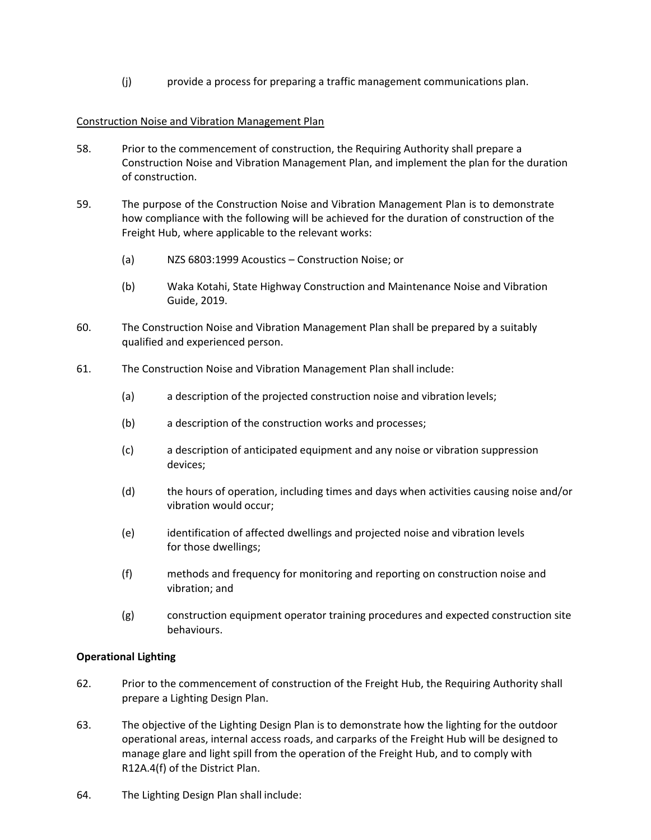(j) provide a process for preparing a traffic management communications plan.

# Construction Noise and Vibration Management Plan

- 58. Prior to the commencement of construction, the Requiring Authority shall prepare a Construction Noise and Vibration Management Plan, and implement the plan for the duration of construction.
- 59. The purpose of the Construction Noise and Vibration Management Plan is to demonstrate how compliance with the following will be achieved for the duration of construction of the Freight Hub, where applicable to the relevant works:
	- (a) NZS 6803:1999 Acoustics Construction Noise; or
	- (b) Waka Kotahi, State Highway Construction and Maintenance Noise and Vibration Guide, 2019.
- 60. The Construction Noise and Vibration Management Plan shall be prepared by a suitably qualified and experienced person.
- 61. The Construction Noise and Vibration Management Plan shall include:
	- (a) a description of the projected construction noise and vibration levels;
	- (b) a description of the construction works and processes;
	- (c) a description of anticipated equipment and any noise or vibration suppression devices;
	- (d) the hours of operation, including times and days when activities causing noise and/or vibration would occur;
	- (e) identification of affected dwellings and projected noise and vibration levels for those dwellings;
	- (f) methods and frequency for monitoring and reporting on construction noise and vibration; and
	- (g) construction equipment operator training procedures and expected construction site behaviours.

# **Operational Lighting**

- 62. Prior to the commencement of construction of the Freight Hub, the Requiring Authority shall prepare a Lighting Design Plan.
- 63. The objective of the Lighting Design Plan is to demonstrate how the lighting for the outdoor operational areas, internal access roads, and carparks of the Freight Hub will be designed to manage glare and light spill from the operation of the Freight Hub, and to comply with R12A.4(f) of the District Plan.
- 64. The Lighting Design Plan shall include: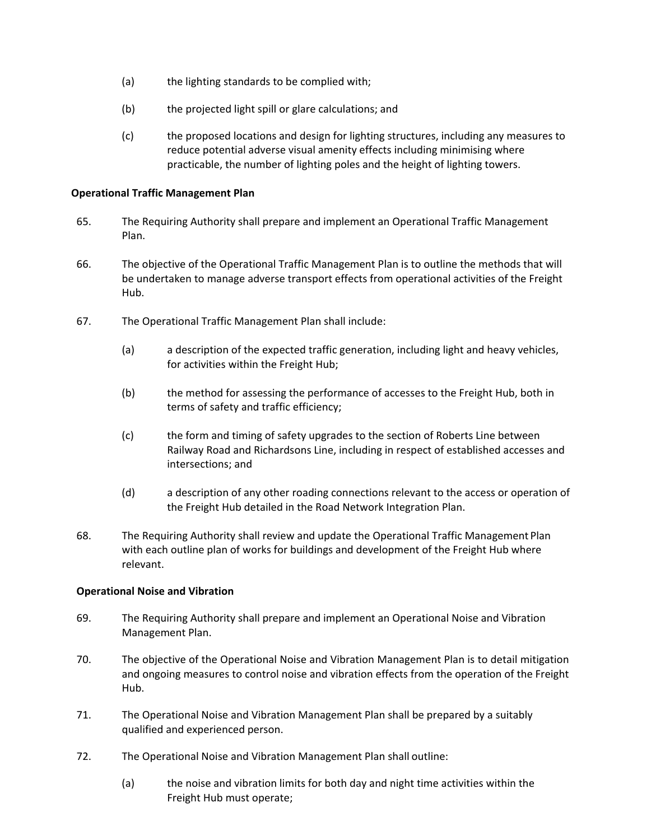- (a) the lighting standards to be complied with;
- (b) the projected light spill or glare calculations; and
- (c) the proposed locations and design for lighting structures, including any measures to reduce potential adverse visual amenity effects including minimising where practicable, the number of lighting poles and the height of lighting towers.

#### **Operational Traffic Management Plan**

- 65. The Requiring Authority shall prepare and implement an Operational Traffic Management Plan.
- 66. The objective of the Operational Traffic Management Plan is to outline the methods that will be undertaken to manage adverse transport effects from operational activities of the Freight Hub.
- 67. The Operational Traffic Management Plan shall include:
	- (a) a description of the expected traffic generation, including light and heavy vehicles, for activities within the Freight Hub;
	- (b) the method for assessing the performance of accesses to the Freight Hub, both in terms of safety and traffic efficiency;
	- (c) the form and timing of safety upgrades to the section of Roberts Line between Railway Road and Richardsons Line, including in respect of established accesses and intersections; and
	- (d) a description of any other roading connections relevant to the access or operation of the Freight Hub detailed in the Road Network Integration Plan.
- 68. The Requiring Authority shall review and update the Operational Traffic Management Plan with each outline plan of works for buildings and development of the Freight Hub where relevant.

# **Operational Noise and Vibration**

- 69. The Requiring Authority shall prepare and implement an Operational Noise and Vibration Management Plan.
- 70. The objective of the Operational Noise and Vibration Management Plan is to detail mitigation and ongoing measures to control noise and vibration effects from the operation of the Freight Hub.
- 71. The Operational Noise and Vibration Management Plan shall be prepared by a suitably qualified and experienced person.
- 72. The Operational Noise and Vibration Management Plan shall outline:
	- (a) the noise and vibration limits for both day and night time activities within the Freight Hub must operate;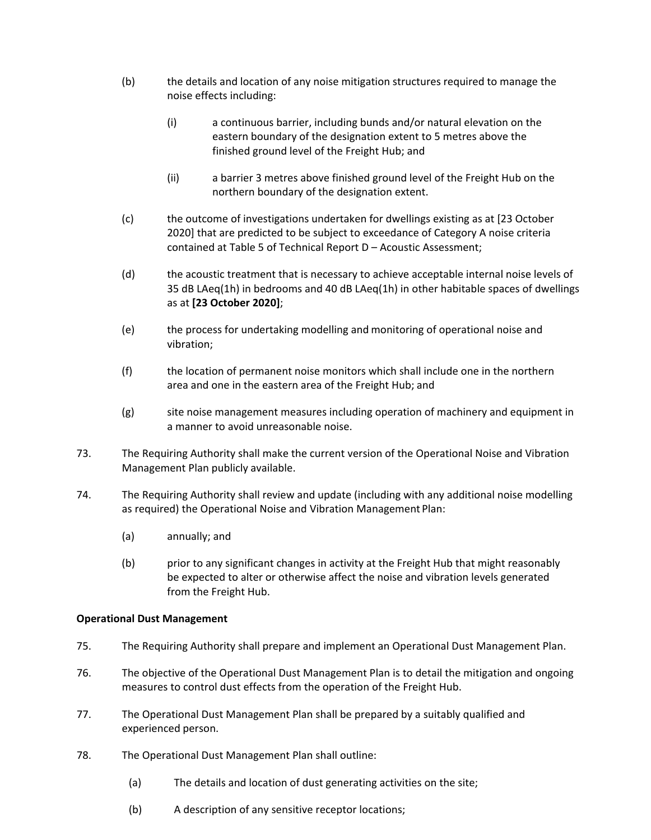- (b) the details and location of any noise mitigation structures required to manage the noise effects including:
	- (i) a continuous barrier, including bunds and/or natural elevation on the eastern boundary of the designation extent to 5 metres above the finished ground level of the Freight Hub; and
	- (ii) a barrier 3 metres above finished ground level of the Freight Hub on the northern boundary of the designation extent.
- (c) the outcome of investigations undertaken for dwellings existing as at [23 October 2020] that are predicted to be subject to exceedance of Category A noise criteria contained at Table 5 of Technical Report D – Acoustic Assessment;
- (d) the acoustic treatment that is necessary to achieve acceptable internal noise levels of 35 dB LAeq(1h) in bedrooms and 40 dB LAeq(1h) in other habitable spaces of dwellings as at **[23 October 2020]**;
- (e) the process for undertaking modelling and monitoring of operational noise and vibration;
- (f) the location of permanent noise monitors which shall include one in the northern area and one in the eastern area of the Freight Hub; and
- (g) site noise management measures including operation of machinery and equipment in a manner to avoid unreasonable noise.
- 73. The Requiring Authority shall make the current version of the Operational Noise and Vibration Management Plan publicly available.
- 74. The Requiring Authority shall review and update (including with any additional noise modelling as required) the Operational Noise and Vibration Management Plan:
	- (a) annually; and
	- (b) prior to any significant changes in activity at the Freight Hub that might reasonably be expected to alter or otherwise affect the noise and vibration levels generated from the Freight Hub.

# **Operational Dust Management**

- 75. The Requiring Authority shall prepare and implement an Operational Dust Management Plan.
- 76. The objective of the Operational Dust Management Plan is to detail the mitigation and ongoing measures to control dust effects from the operation of the Freight Hub.
- 77. The Operational Dust Management Plan shall be prepared by a suitably qualified and experienced person.
- 78. The Operational Dust Management Plan shall outline:
	- (a) The details and location of dust generating activities on the site;
	- (b) A description of any sensitive receptor locations;